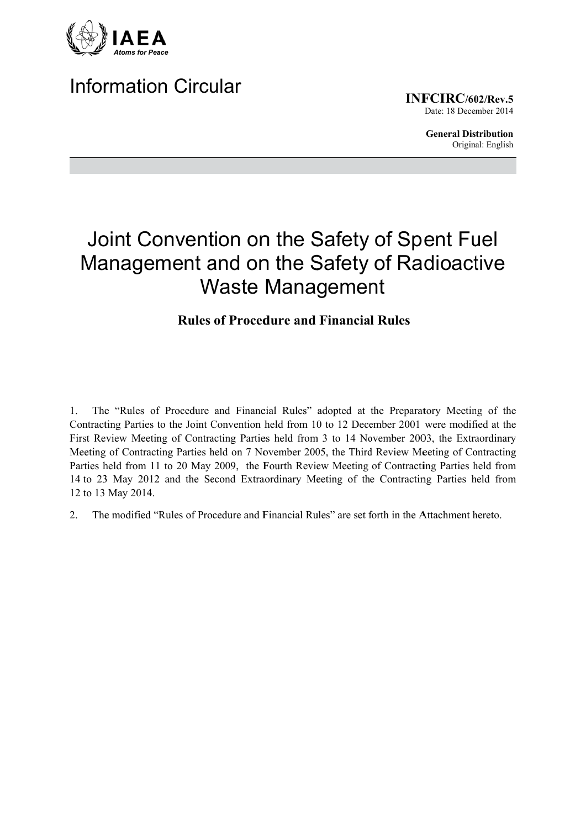

# Information Circular

**INF FCIRC/60 02/Rev.5** Date: 18 December 2014

> **General Distribution** Original: English

# Joint Convention on the Safety of Spent Fuel Management and on the Safety of Radioactive Waste Management

## **Rules of Procedure and Financial Rules**

1. The "Rules of Procedure and Financial Rules" adopted at the Preparatory Meeting of the Contracting Parties to the Joint Convention held from 10 to 12 December 2001 were modified at the First Review Meeting of Contracting Parties held from 3 to 14 November 2003, the Extraordinary Meeting of Contracting Parties held on 7 November 2005, the Third Review Meeting of Contracting Parties held from 11 to 20 May 2009, the Fourth Review Meeting of Contracting Parties held from 14 to 23 May 2012 and the Second Extraordinary Meeting of the Contracting Parties held from 12 to 13 May 2014.

2. The modified "Rules of Procedure and Financial Rules" are set forth in the Attachment hereto.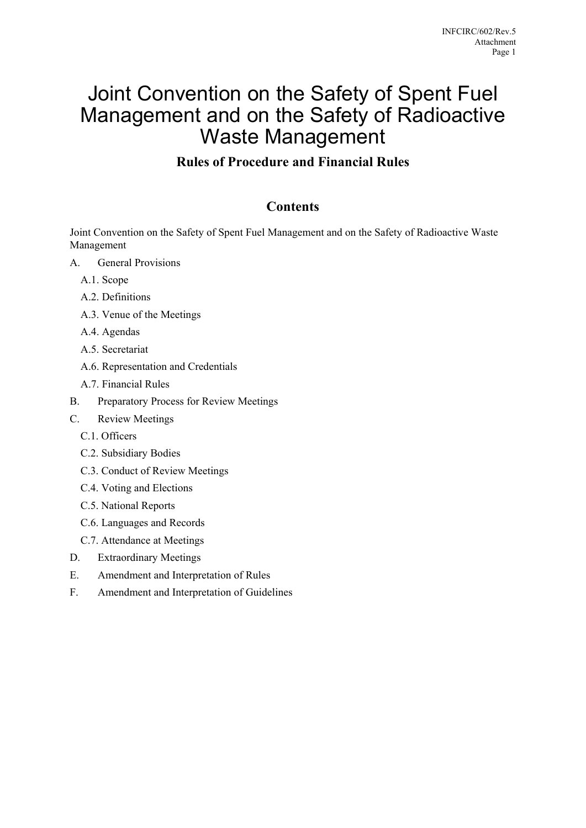# Joint Convention on the Safety of Spent Fuel Management and on the Safety of Radioactive Waste Management

### **Rules of Procedure and Financial Rules**

### **Contents**

Joint Convention on the Safety of Spent Fuel Management and on the Safety of Radioactive Waste Management

- A. General Provisions
	- A.1. Scope
	- A.2. Definitions
	- A.3. Venue of the Meetings
	- A.4. Agendas
	- A.5. Secretariat
	- A.6. Representation and Credentials
	- A.7. Financial Rules
- B. Preparatory Process for Review Meetings
- C. Review Meetings
	- C.1. Officers
	- C.2. Subsidiary Bodies
	- C.3. Conduct of Review Meetings
	- C.4. Voting and Elections
	- C.5. National Reports
	- C.6. Languages and Records
	- C.7. Attendance at Meetings
- D. Extraordinary Meetings
- E. Amendment and Interpretation of Rules
- F. Amendment and Interpretation of Guidelines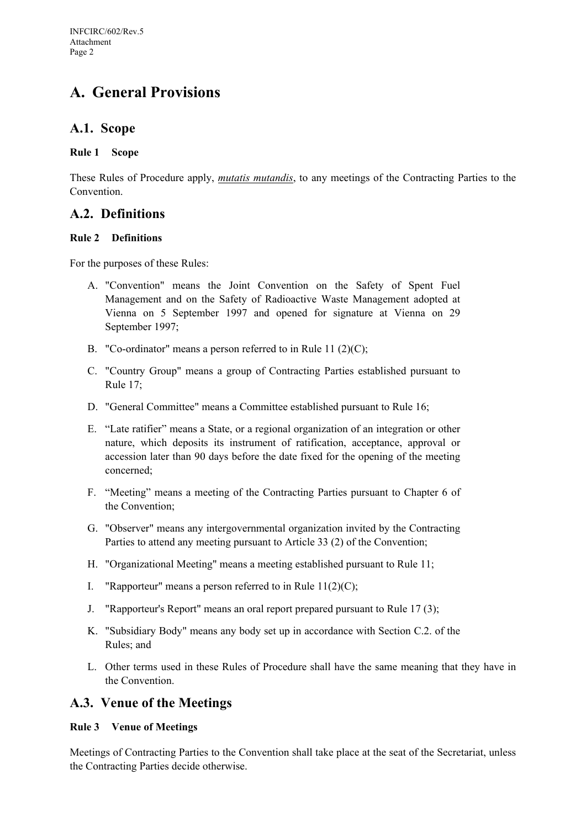# **A. General Provisions**

### **A.1. Scope**

#### **Rule 1 Scope**

These Rules of Procedure apply, *mutatis mutandis*, to any meetings of the Contracting Parties to the Convention.

### **A.2. Definitions**

#### **Rule 2 Definitions**

For the purposes of these Rules:

- A. "Convention" means the Joint Convention on the Safety of Spent Fuel Management and on the Safety of Radioactive Waste Management adopted at Vienna on 5 September 1997 and opened for signature at Vienna on 29 September 1997;
- B. "Co-ordinator" means a person referred to in Rule 11 (2)(C);
- C. "Country Group" means a group of Contracting Parties established pursuant to Rule 17;
- D. "General Committee" means a Committee established pursuant to Rule 16;
- E. "Late ratifier" means a State, or a regional organization of an integration or other nature, which deposits its instrument of ratification, acceptance, approval or accession later than 90 days before the date fixed for the opening of the meeting concerned;
- F. "Meeting" means a meeting of the Contracting Parties pursuant to Chapter 6 of the Convention;
- G. "Observer" means any intergovernmental organization invited by the Contracting Parties to attend any meeting pursuant to Article 33 (2) of the Convention;
- H. "Organizational Meeting" means a meeting established pursuant to Rule 11;
- I. "Rapporteur" means a person referred to in Rule  $11(2)(C)$ ;
- J. "Rapporteur's Report" means an oral report prepared pursuant to Rule 17 (3);
- K. "Subsidiary Body" means any body set up in accordance with Section C.2. of the Rules; and
- L. Other terms used in these Rules of Procedure shall have the same meaning that they have in the Convention.

#### **A.3. Venue of the Meetings**

#### **Rule 3 Venue of Meetings**

Meetings of Contracting Parties to the Convention shall take place at the seat of the Secretariat, unless the Contracting Parties decide otherwise.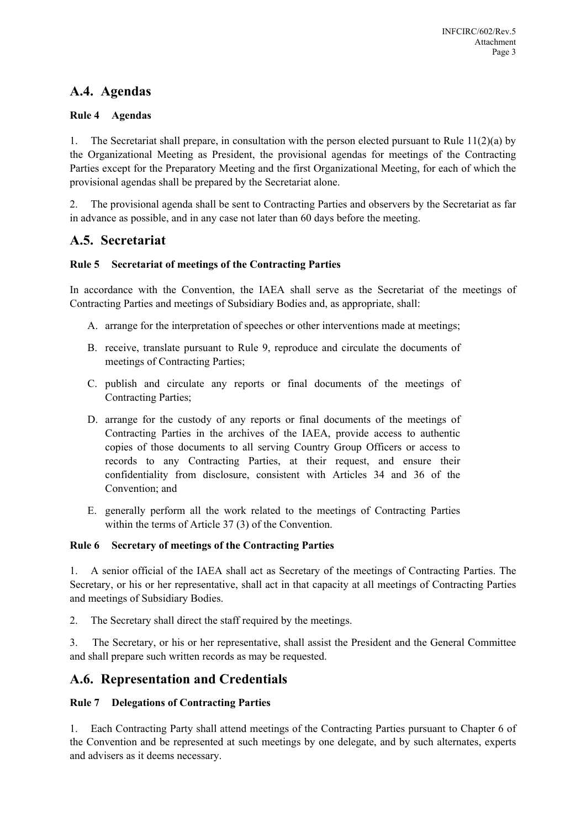### **A.4. Agendas**

#### **Rule 4 Agendas**

1. The Secretariat shall prepare, in consultation with the person elected pursuant to Rule 11(2)(a) by the Organizational Meeting as President, the provisional agendas for meetings of the Contracting Parties except for the Preparatory Meeting and the first Organizational Meeting, for each of which the provisional agendas shall be prepared by the Secretariat alone.

2. The provisional agenda shall be sent to Contracting Parties and observers by the Secretariat as far in advance as possible, and in any case not later than 60 days before the meeting.

### **A.5. Secretariat**

#### **Rule 5 Secretariat of meetings of the Contracting Parties**

In accordance with the Convention, the IAEA shall serve as the Secretariat of the meetings of Contracting Parties and meetings of Subsidiary Bodies and, as appropriate, shall:

- A. arrange for the interpretation of speeches or other interventions made at meetings;
- B. receive, translate pursuant to Rule 9, reproduce and circulate the documents of meetings of Contracting Parties;
- C. publish and circulate any reports or final documents of the meetings of Contracting Parties;
- D. arrange for the custody of any reports or final documents of the meetings of Contracting Parties in the archives of the IAEA, provide access to authentic copies of those documents to all serving Country Group Officers or access to records to any Contracting Parties, at their request, and ensure their confidentiality from disclosure, consistent with Articles 34 and 36 of the Convention; and
- E. generally perform all the work related to the meetings of Contracting Parties within the terms of Article 37 (3) of the Convention.

#### **Rule 6 Secretary of meetings of the Contracting Parties**

1. A senior official of the IAEA shall act as Secretary of the meetings of Contracting Parties. The Secretary, or his or her representative, shall act in that capacity at all meetings of Contracting Parties and meetings of Subsidiary Bodies.

2. The Secretary shall direct the staff required by the meetings.

3. The Secretary, or his or her representative, shall assist the President and the General Committee and shall prepare such written records as may be requested.

### **A.6. Representation and Credentials**

#### **Rule 7 Delegations of Contracting Parties**

1. Each Contracting Party shall attend meetings of the Contracting Parties pursuant to Chapter 6 of the Convention and be represented at such meetings by one delegate, and by such alternates, experts and advisers as it deems necessary.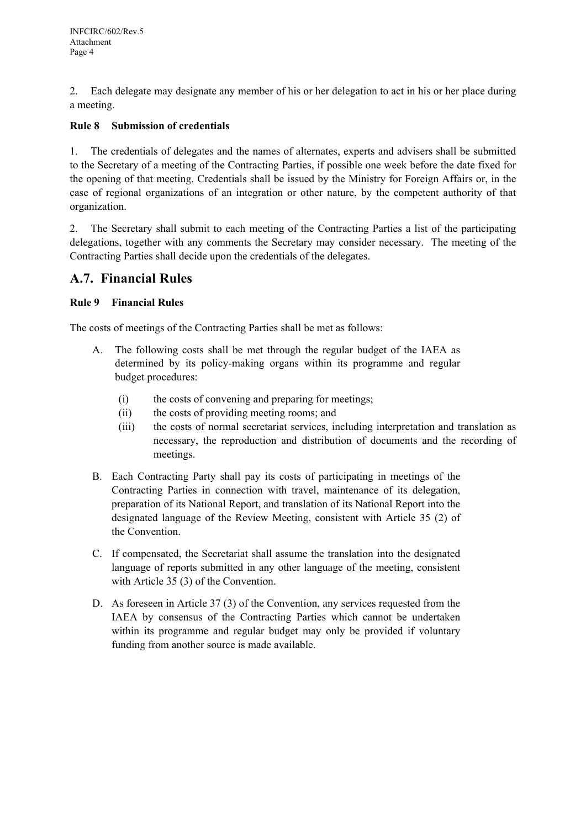2. Each delegate may designate any member of his or her delegation to act in his or her place during a meeting.

#### **Rule 8 Submission of credentials**

1. The credentials of delegates and the names of alternates, experts and advisers shall be submitted to the Secretary of a meeting of the Contracting Parties, if possible one week before the date fixed for the opening of that meeting. Credentials shall be issued by the Ministry for Foreign Affairs or, in the case of regional organizations of an integration or other nature, by the competent authority of that organization.

2. The Secretary shall submit to each meeting of the Contracting Parties a list of the participating delegations, together with any comments the Secretary may consider necessary. The meeting of the Contracting Parties shall decide upon the credentials of the delegates.

### **A.7. Financial Rules**

#### **Rule 9 Financial Rules**

The costs of meetings of the Contracting Parties shall be met as follows:

- A. The following costs shall be met through the regular budget of the IAEA as determined by its policy-making organs within its programme and regular budget procedures:
	- (i) the costs of convening and preparing for meetings;
	- (ii) the costs of providing meeting rooms; and
	- (iii) the costs of normal secretariat services, including interpretation and translation as necessary, the reproduction and distribution of documents and the recording of meetings.
- B. Each Contracting Party shall pay its costs of participating in meetings of the Contracting Parties in connection with travel, maintenance of its delegation, preparation of its National Report, and translation of its National Report into the designated language of the Review Meeting, consistent with Article 35 (2) of the Convention.
- C. If compensated, the Secretariat shall assume the translation into the designated language of reports submitted in any other language of the meeting, consistent with Article 35 (3) of the Convention.
- D. As foreseen in Article 37 (3) of the Convention, any services requested from the IAEA by consensus of the Contracting Parties which cannot be undertaken within its programme and regular budget may only be provided if voluntary funding from another source is made available.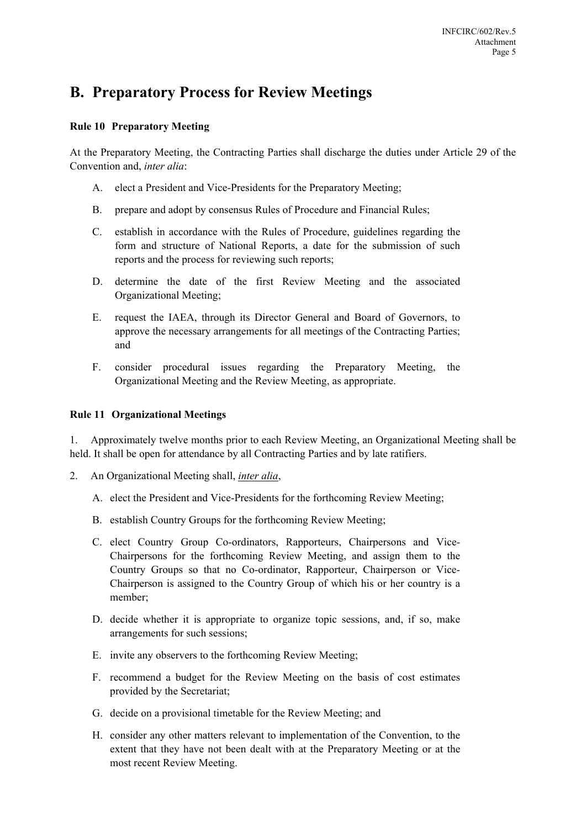## **B. Preparatory Process for Review Meetings**

#### **Rule 10 Preparatory Meeting**

At the Preparatory Meeting, the Contracting Parties shall discharge the duties under Article 29 of the Convention and, *inter alia*:

- A. elect a President and Vice-Presidents for the Preparatory Meeting;
- B. prepare and adopt by consensus Rules of Procedure and Financial Rules;
- C. establish in accordance with the Rules of Procedure, guidelines regarding the form and structure of National Reports, a date for the submission of such reports and the process for reviewing such reports;
- D. determine the date of the first Review Meeting and the associated Organizational Meeting;
- E. request the IAEA, through its Director General and Board of Governors, to approve the necessary arrangements for all meetings of the Contracting Parties; and
- F. consider procedural issues regarding the Preparatory Meeting, the Organizational Meeting and the Review Meeting, as appropriate.

#### **Rule 11 Organizational Meetings**

1. Approximately twelve months prior to each Review Meeting, an Organizational Meeting shall be held. It shall be open for attendance by all Contracting Parties and by late ratifiers.

- 2. An Organizational Meeting shall, *inter alia*,
	- A. elect the President and Vice-Presidents for the forthcoming Review Meeting;
	- B. establish Country Groups for the forthcoming Review Meeting;
	- C. elect Country Group Co-ordinators, Rapporteurs, Chairpersons and Vice-Chairpersons for the forthcoming Review Meeting, and assign them to the Country Groups so that no Co-ordinator, Rapporteur, Chairperson or Vice-Chairperson is assigned to the Country Group of which his or her country is a member;
	- D. decide whether it is appropriate to organize topic sessions, and, if so, make arrangements for such sessions;
	- E. invite any observers to the forthcoming Review Meeting;
	- F. recommend a budget for the Review Meeting on the basis of cost estimates provided by the Secretariat;
	- G. decide on a provisional timetable for the Review Meeting; and
	- H. consider any other matters relevant to implementation of the Convention, to the extent that they have not been dealt with at the Preparatory Meeting or at the most recent Review Meeting.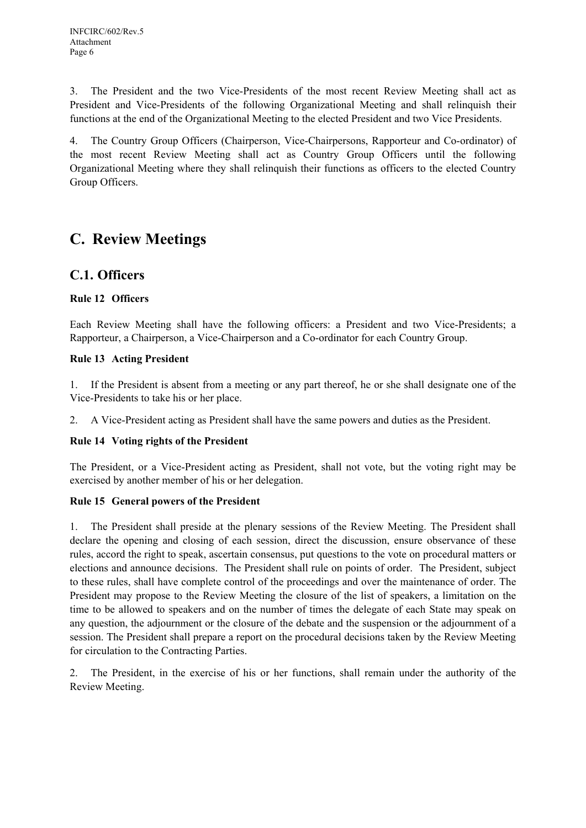3. The President and the two Vice-Presidents of the most recent Review Meeting shall act as President and Vice-Presidents of the following Organizational Meeting and shall relinquish their functions at the end of the Organizational Meeting to the elected President and two Vice Presidents.

4. The Country Group Officers (Chairperson, Vice-Chairpersons, Rapporteur and Co-ordinator) of the most recent Review Meeting shall act as Country Group Officers until the following Organizational Meeting where they shall relinquish their functions as officers to the elected Country Group Officers.

# **C. Review Meetings**

### **C.1. Officers**

#### **Rule 12 Officers**

Each Review Meeting shall have the following officers: a President and two Vice-Presidents; a Rapporteur, a Chairperson, a Vice-Chairperson and a Co-ordinator for each Country Group.

#### **Rule 13 Acting President**

1. If the President is absent from a meeting or any part thereof, he or she shall designate one of the Vice-Presidents to take his or her place.

2. A Vice-President acting as President shall have the same powers and duties as the President.

#### **Rule 14 Voting rights of the President**

The President, or a Vice-President acting as President, shall not vote, but the voting right may be exercised by another member of his or her delegation.

#### **Rule 15 General powers of the President**

1. The President shall preside at the plenary sessions of the Review Meeting. The President shall declare the opening and closing of each session, direct the discussion, ensure observance of these rules, accord the right to speak, ascertain consensus, put questions to the vote on procedural matters or elections and announce decisions. The President shall rule on points of order. The President, subject to these rules, shall have complete control of the proceedings and over the maintenance of order. The President may propose to the Review Meeting the closure of the list of speakers, a limitation on the time to be allowed to speakers and on the number of times the delegate of each State may speak on any question, the adjournment or the closure of the debate and the suspension or the adjournment of a session. The President shall prepare a report on the procedural decisions taken by the Review Meeting for circulation to the Contracting Parties.

2. The President, in the exercise of his or her functions, shall remain under the authority of the Review Meeting.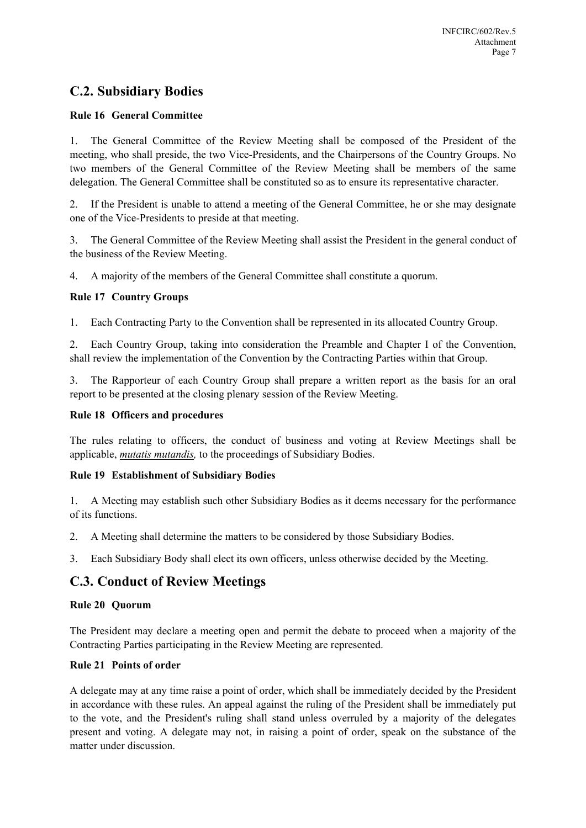### **C.2. Subsidiary Bodies**

#### **Rule 16 General Committee**

1. The General Committee of the Review Meeting shall be composed of the President of the meeting, who shall preside, the two Vice-Presidents, and the Chairpersons of the Country Groups. No two members of the General Committee of the Review Meeting shall be members of the same delegation. The General Committee shall be constituted so as to ensure its representative character.

2. If the President is unable to attend a meeting of the General Committee, he or she may designate one of the Vice-Presidents to preside at that meeting.

3. The General Committee of the Review Meeting shall assist the President in the general conduct of the business of the Review Meeting.

4. A majority of the members of the General Committee shall constitute a quorum.

#### **Rule 17 Country Groups**

1. Each Contracting Party to the Convention shall be represented in its allocated Country Group.

2. Each Country Group, taking into consideration the Preamble and Chapter I of the Convention, shall review the implementation of the Convention by the Contracting Parties within that Group.

3. The Rapporteur of each Country Group shall prepare a written report as the basis for an oral report to be presented at the closing plenary session of the Review Meeting.

#### **Rule 18 Officers and procedures**

The rules relating to officers, the conduct of business and voting at Review Meetings shall be applicable, *mutatis mutandis,* to the proceedings of Subsidiary Bodies.

#### **Rule 19 Establishment of Subsidiary Bodies**

1. A Meeting may establish such other Subsidiary Bodies as it deems necessary for the performance of its functions.

2. A Meeting shall determine the matters to be considered by those Subsidiary Bodies.

3. Each Subsidiary Body shall elect its own officers, unless otherwise decided by the Meeting.

### **C.3. Conduct of Review Meetings**

#### **Rule 20 Quorum**

The President may declare a meeting open and permit the debate to proceed when a majority of the Contracting Parties participating in the Review Meeting are represented.

#### **Rule 21 Points of order**

A delegate may at any time raise a point of order, which shall be immediately decided by the President in accordance with these rules. An appeal against the ruling of the President shall be immediately put to the vote, and the President's ruling shall stand unless overruled by a majority of the delegates present and voting. A delegate may not, in raising a point of order, speak on the substance of the matter under discussion.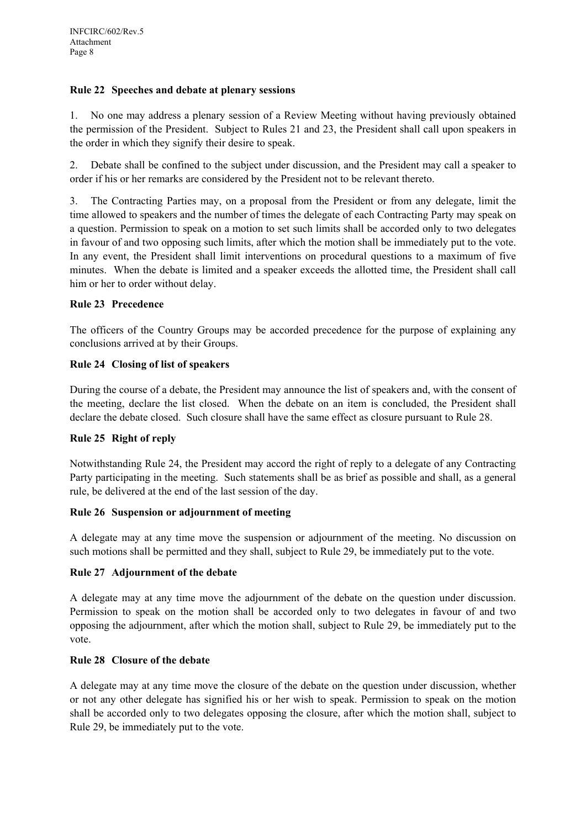#### **Rule 22 Speeches and debate at plenary sessions**

1. No one may address a plenary session of a Review Meeting without having previously obtained the permission of the President. Subject to Rules 21 and 23, the President shall call upon speakers in the order in which they signify their desire to speak.

2. Debate shall be confined to the subject under discussion, and the President may call a speaker to order if his or her remarks are considered by the President not to be relevant thereto.

3. The Contracting Parties may, on a proposal from the President or from any delegate, limit the time allowed to speakers and the number of times the delegate of each Contracting Party may speak on a question. Permission to speak on a motion to set such limits shall be accorded only to two delegates in favour of and two opposing such limits, after which the motion shall be immediately put to the vote. In any event, the President shall limit interventions on procedural questions to a maximum of five minutes. When the debate is limited and a speaker exceeds the allotted time, the President shall call him or her to order without delay.

#### **Rule 23 Precedence**

The officers of the Country Groups may be accorded precedence for the purpose of explaining any conclusions arrived at by their Groups.

#### **Rule 24 Closing of list of speakers**

During the course of a debate, the President may announce the list of speakers and, with the consent of the meeting, declare the list closed. When the debate on an item is concluded, the President shall declare the debate closed. Such closure shall have the same effect as closure pursuant to Rule 28.

#### **Rule 25 Right of reply**

Notwithstanding Rule 24, the President may accord the right of reply to a delegate of any Contracting Party participating in the meeting. Such statements shall be as brief as possible and shall, as a general rule, be delivered at the end of the last session of the day.

#### **Rule 26 Suspension or adjournment of meeting**

A delegate may at any time move the suspension or adjournment of the meeting. No discussion on such motions shall be permitted and they shall, subject to Rule 29, be immediately put to the vote.

#### **Rule 27 Adjournment of the debate**

A delegate may at any time move the adjournment of the debate on the question under discussion. Permission to speak on the motion shall be accorded only to two delegates in favour of and two opposing the adjournment, after which the motion shall, subject to Rule 29, be immediately put to the vote.

#### **Rule 28 Closure of the debate**

A delegate may at any time move the closure of the debate on the question under discussion, whether or not any other delegate has signified his or her wish to speak. Permission to speak on the motion shall be accorded only to two delegates opposing the closure, after which the motion shall, subject to Rule 29, be immediately put to the vote.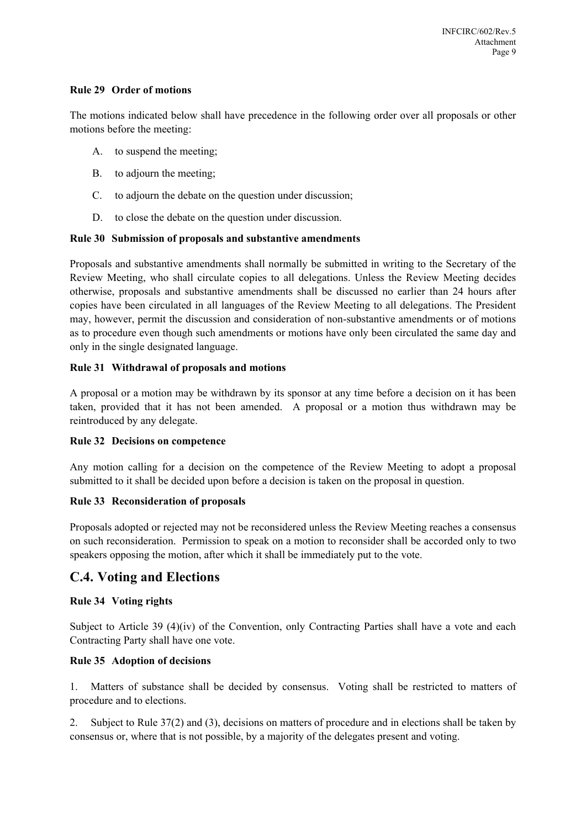#### **Rule 29 Order of motions**

The motions indicated below shall have precedence in the following order over all proposals or other motions before the meeting:

- A. to suspend the meeting;
- B. to adjourn the meeting;
- C. to adjourn the debate on the question under discussion;
- D. to close the debate on the question under discussion.

#### **Rule 30 Submission of proposals and substantive amendments**

Proposals and substantive amendments shall normally be submitted in writing to the Secretary of the Review Meeting, who shall circulate copies to all delegations. Unless the Review Meeting decides otherwise, proposals and substantive amendments shall be discussed no earlier than 24 hours after copies have been circulated in all languages of the Review Meeting to all delegations. The President may, however, permit the discussion and consideration of non-substantive amendments or of motions as to procedure even though such amendments or motions have only been circulated the same day and only in the single designated language.

#### **Rule 31 Withdrawal of proposals and motions**

A proposal or a motion may be withdrawn by its sponsor at any time before a decision on it has been taken, provided that it has not been amended. A proposal or a motion thus withdrawn may be reintroduced by any delegate.

#### **Rule 32 Decisions on competence**

Any motion calling for a decision on the competence of the Review Meeting to adopt a proposal submitted to it shall be decided upon before a decision is taken on the proposal in question.

#### **Rule 33 Reconsideration of proposals**

Proposals adopted or rejected may not be reconsidered unless the Review Meeting reaches a consensus on such reconsideration. Permission to speak on a motion to reconsider shall be accorded only to two speakers opposing the motion, after which it shall be immediately put to the vote.

### **C.4. Voting and Elections**

#### **Rule 34 Voting rights**

Subject to Article 39 (4)(iv) of the Convention, only Contracting Parties shall have a vote and each Contracting Party shall have one vote.

#### **Rule 35 Adoption of decisions**

1. Matters of substance shall be decided by consensus. Voting shall be restricted to matters of procedure and to elections.

2. Subject to Rule 37(2) and (3), decisions on matters of procedure and in elections shall be taken by consensus or, where that is not possible, by a majority of the delegates present and voting.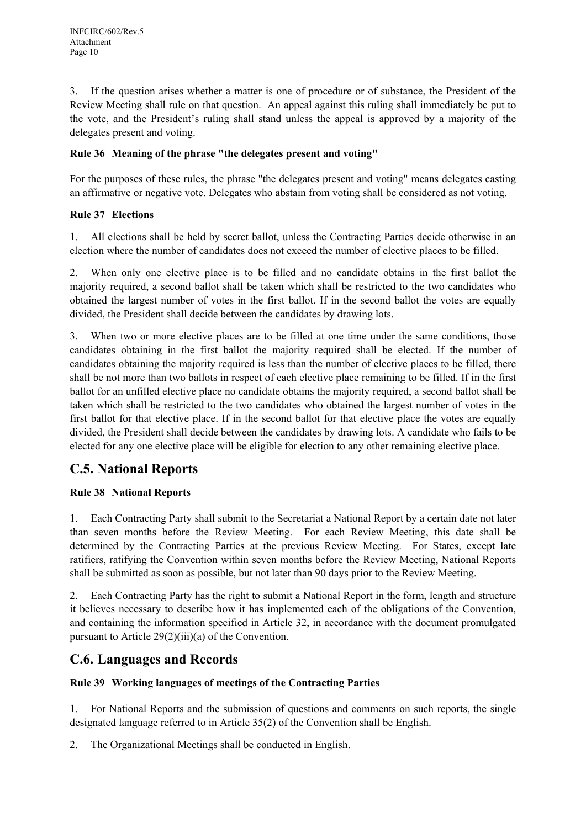3. If the question arises whether a matter is one of procedure or of substance, the President of the Review Meeting shall rule on that question. An appeal against this ruling shall immediately be put to the vote, and the President's ruling shall stand unless the appeal is approved by a majority of the delegates present and voting.

#### **Rule 36 Meaning of the phrase "the delegates present and voting"**

For the purposes of these rules, the phrase "the delegates present and voting" means delegates casting an affirmative or negative vote. Delegates who abstain from voting shall be considered as not voting.

#### **Rule 37 Elections**

1. All elections shall be held by secret ballot, unless the Contracting Parties decide otherwise in an election where the number of candidates does not exceed the number of elective places to be filled.

2. When only one elective place is to be filled and no candidate obtains in the first ballot the majority required, a second ballot shall be taken which shall be restricted to the two candidates who obtained the largest number of votes in the first ballot. If in the second ballot the votes are equally divided, the President shall decide between the candidates by drawing lots.

3. When two or more elective places are to be filled at one time under the same conditions, those candidates obtaining in the first ballot the majority required shall be elected. If the number of candidates obtaining the majority required is less than the number of elective places to be filled, there shall be not more than two ballots in respect of each elective place remaining to be filled. If in the first ballot for an unfilled elective place no candidate obtains the majority required, a second ballot shall be taken which shall be restricted to the two candidates who obtained the largest number of votes in the first ballot for that elective place. If in the second ballot for that elective place the votes are equally divided, the President shall decide between the candidates by drawing lots. A candidate who fails to be elected for any one elective place will be eligible for election to any other remaining elective place.

### **C.5. National Reports**

#### **Rule 38 National Reports**

1. Each Contracting Party shall submit to the Secretariat a National Report by a certain date not later than seven months before the Review Meeting. For each Review Meeting, this date shall be determined by the Contracting Parties at the previous Review Meeting. For States, except late ratifiers, ratifying the Convention within seven months before the Review Meeting, National Reports shall be submitted as soon as possible, but not later than 90 days prior to the Review Meeting.

2. Each Contracting Party has the right to submit a National Report in the form, length and structure it believes necessary to describe how it has implemented each of the obligations of the Convention, and containing the information specified in Article 32, in accordance with the document promulgated pursuant to Article 29(2)(iii)(a) of the Convention.

### **C.6. Languages and Records**

#### **Rule 39 Working languages of meetings of the Contracting Parties**

1. For National Reports and the submission of questions and comments on such reports, the single designated language referred to in Article 35(2) of the Convention shall be English.

2. The Organizational Meetings shall be conducted in English.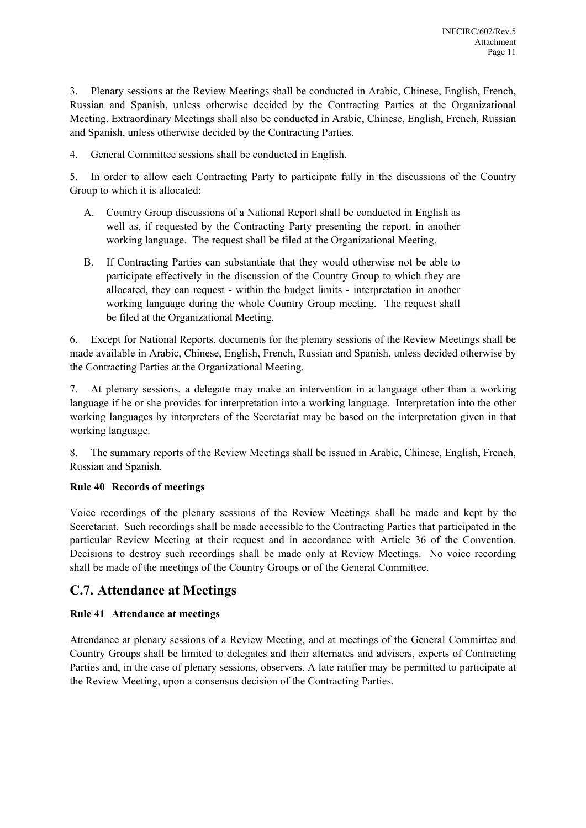3. Plenary sessions at the Review Meetings shall be conducted in Arabic, Chinese, English, French, Russian and Spanish, unless otherwise decided by the Contracting Parties at the Organizational Meeting. Extraordinary Meetings shall also be conducted in Arabic, Chinese, English, French, Russian and Spanish, unless otherwise decided by the Contracting Parties.

4. General Committee sessions shall be conducted in English.

5. In order to allow each Contracting Party to participate fully in the discussions of the Country Group to which it is allocated:

- A. Country Group discussions of a National Report shall be conducted in English as well as, if requested by the Contracting Party presenting the report, in another working language. The request shall be filed at the Organizational Meeting.
- B. If Contracting Parties can substantiate that they would otherwise not be able to participate effectively in the discussion of the Country Group to which they are allocated, they can request - within the budget limits - interpretation in another working language during the whole Country Group meeting. The request shall be filed at the Organizational Meeting.

6. Except for National Reports, documents for the plenary sessions of the Review Meetings shall be made available in Arabic, Chinese, English, French, Russian and Spanish, unless decided otherwise by the Contracting Parties at the Organizational Meeting.

7. At plenary sessions, a delegate may make an intervention in a language other than a working language if he or she provides for interpretation into a working language. Interpretation into the other working languages by interpreters of the Secretariat may be based on the interpretation given in that working language.

8. The summary reports of the Review Meetings shall be issued in Arabic, Chinese, English, French, Russian and Spanish.

#### **Rule 40 Records of meetings**

Voice recordings of the plenary sessions of the Review Meetings shall be made and kept by the Secretariat. Such recordings shall be made accessible to the Contracting Parties that participated in the particular Review Meeting at their request and in accordance with Article 36 of the Convention. Decisions to destroy such recordings shall be made only at Review Meetings. No voice recording shall be made of the meetings of the Country Groups or of the General Committee.

### **C.7. Attendance at Meetings**

#### **Rule 41 Attendance at meetings**

Attendance at plenary sessions of a Review Meeting, and at meetings of the General Committee and Country Groups shall be limited to delegates and their alternates and advisers, experts of Contracting Parties and, in the case of plenary sessions, observers. A late ratifier may be permitted to participate at the Review Meeting, upon a consensus decision of the Contracting Parties.